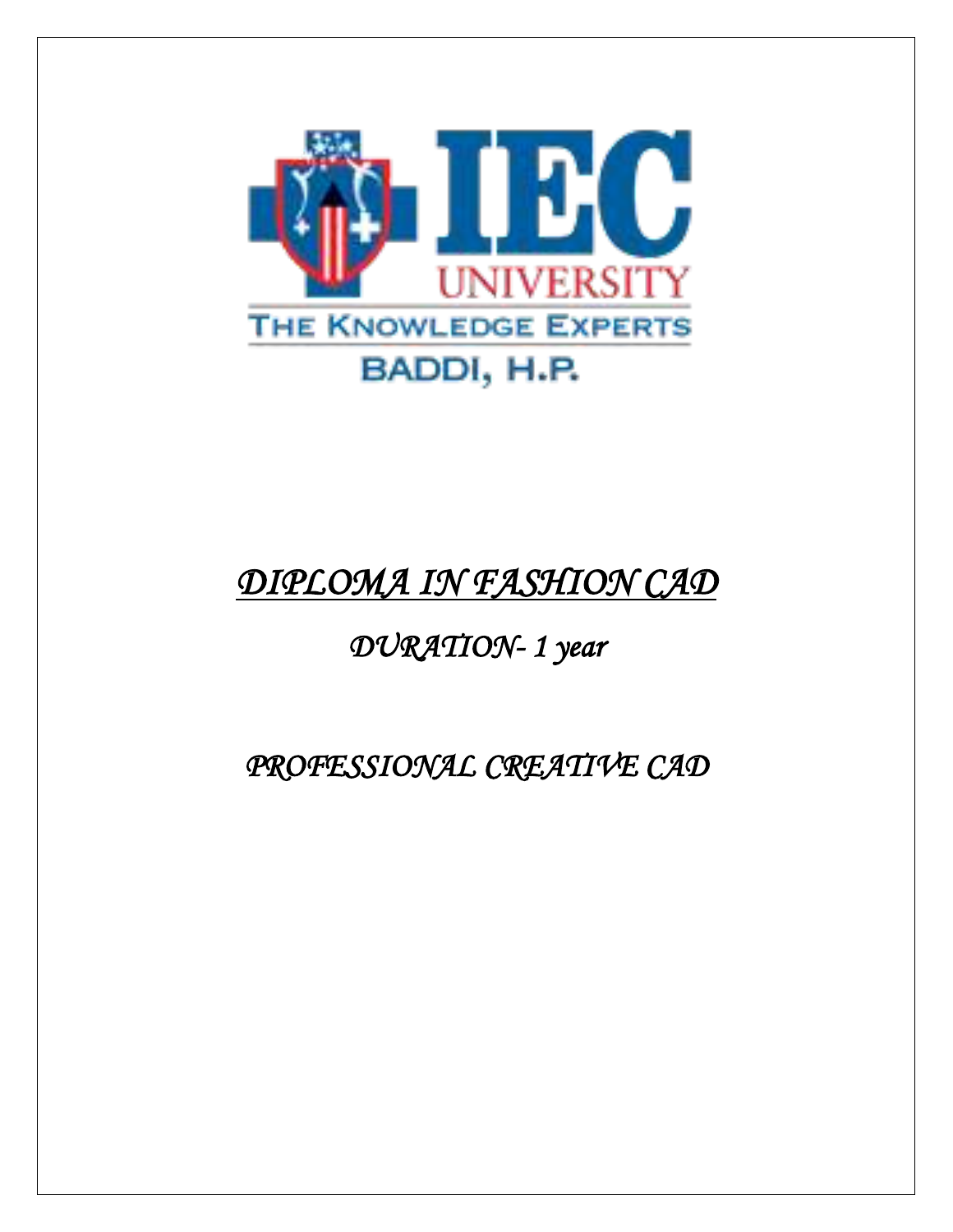

# *DIPLOMA IN FASHION CAD*

# *DURATION- 1 year*

# *PROFESSIONAL CREATIVE CAD*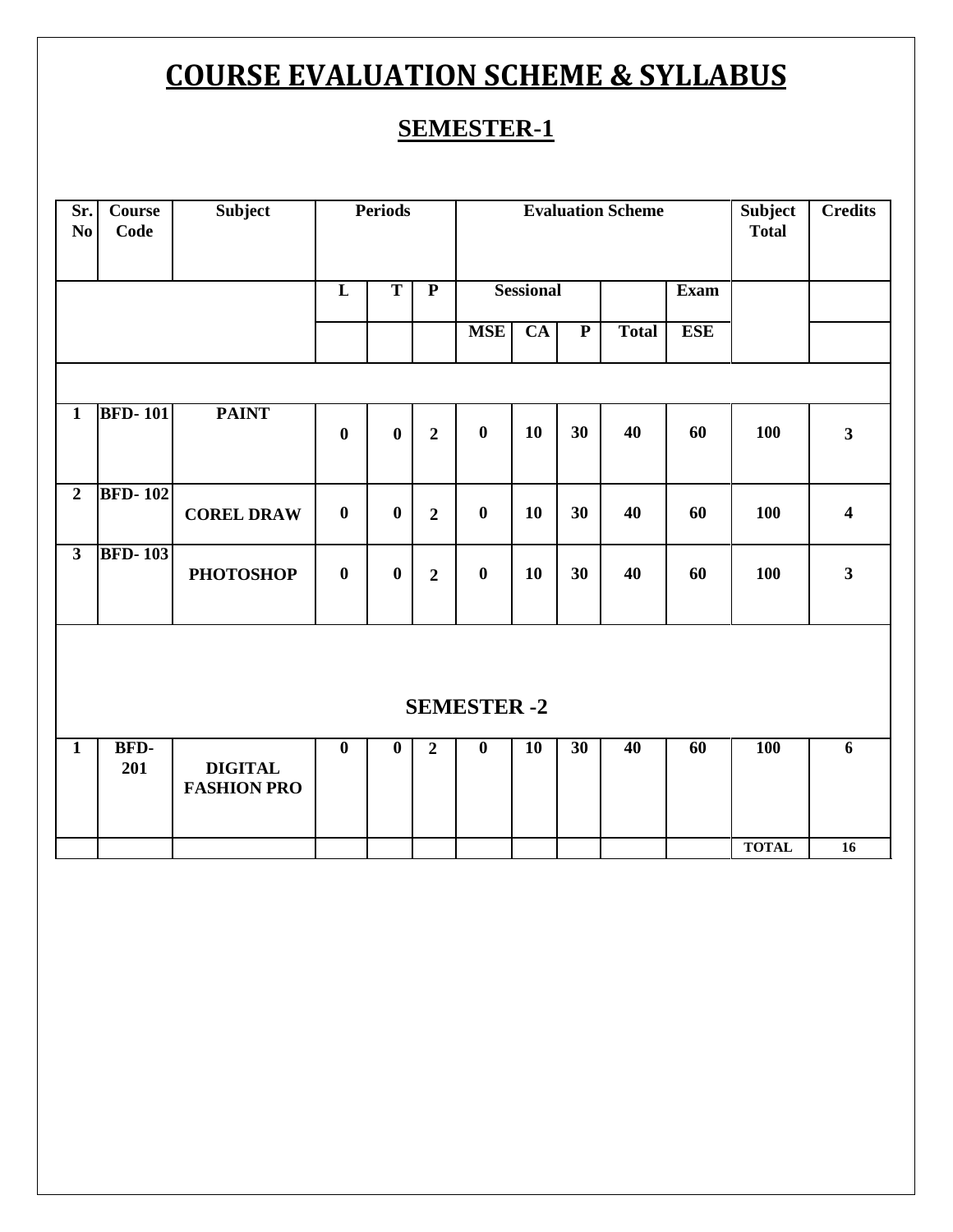# **COURSE EVALUATION SCHEME & SYLLABUS**

# **SEMESTER-1**

| Sr.<br>No               | <b>Course</b><br>Code | Subject                              |                         | <b>Periods</b>          |                         | <b>Evaluation Scheme</b> |                        |                         |              |            | <b>Subject</b><br><b>Total</b> | <b>Credits</b>          |
|-------------------------|-----------------------|--------------------------------------|-------------------------|-------------------------|-------------------------|--------------------------|------------------------|-------------------------|--------------|------------|--------------------------------|-------------------------|
|                         |                       |                                      | $\overline{\mathbf{L}}$ | $\overline{\mathbf{T}}$ | $\overline{\mathbf{P}}$ | <b>Sessional</b>         |                        |                         |              | Exam       |                                |                         |
|                         |                       |                                      |                         |                         |                         | <b>MSE</b>               | $\overline{\text{CA}}$ | $\overline{\mathbf{P}}$ | <b>Total</b> | <b>ESE</b> |                                |                         |
|                         |                       |                                      |                         |                         |                         |                          |                        |                         |              |            |                                |                         |
| $\mathbf{1}$            | <b>BFD-101</b>        | <b>PAINT</b>                         | $\bf{0}$                | $\bf{0}$                | $\overline{2}$          | $\bf{0}$                 | 10                     | 30                      | 40           | 60         | 100                            | $\overline{\mathbf{3}}$ |
| $\overline{2}$          | <b>BFD-102</b>        | <b>COREL DRAW</b>                    | $\bf{0}$                | $\boldsymbol{0}$        | $\overline{2}$          | $\bf{0}$                 | 10                     | 30                      | 40           | 60         | 100                            | $\overline{\mathbf{4}}$ |
| $\overline{\mathbf{3}}$ | <b>BFD-103</b>        | <b>PHOTOSHOP</b>                     | $\boldsymbol{0}$        | $\bf{0}$                | $\overline{2}$          | $\boldsymbol{0}$         | 10                     | 30                      | 40           | 60         | 100                            | $\mathbf{3}$            |
| <b>SEMESTER -2</b>      |                       |                                      |                         |                         |                         |                          |                        |                         |              |            |                                |                         |
| $\overline{1}$          | BFD-<br>201           | <b>DIGITAL</b><br><b>FASHION PRO</b> | $\overline{\mathbf{0}}$ | $\overline{\mathbf{0}}$ | $\overline{2}$          | $\overline{\mathbf{0}}$  | <b>10</b>              | 30                      | 40           | 60         | <b>100</b>                     | $\overline{6}$          |
|                         |                       |                                      |                         |                         |                         |                          |                        |                         |              |            | <b>TOTAL</b>                   | 16                      |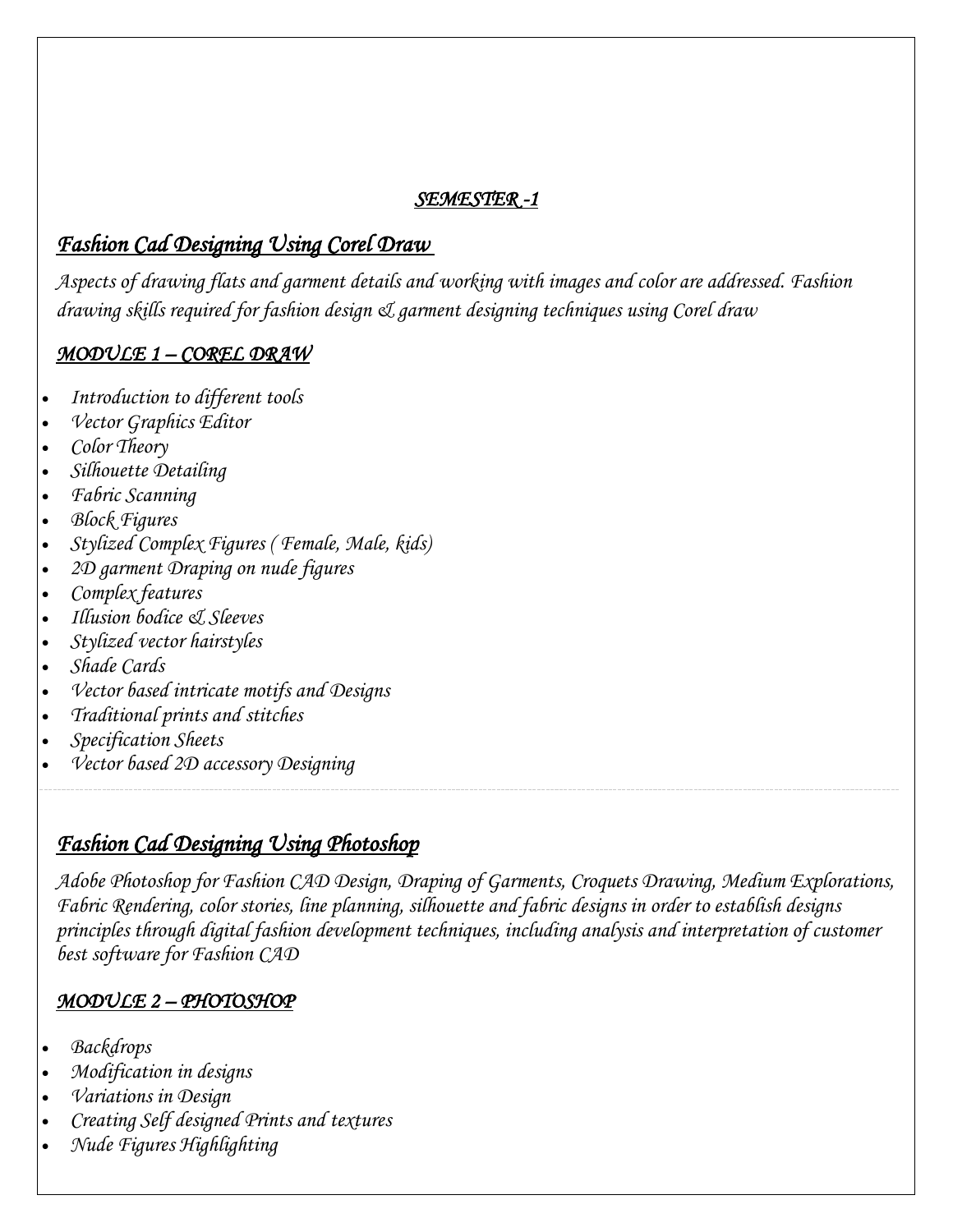#### *SEMESTER -1*

# *Fashion Cad Designing Using Corel Draw*

*Aspects of drawing flats and garment details and working with images and color are addressed. Fashion drawing skills required for fashion design & garment designing techniques using Corel draw*

#### *MODULE 1 – COREL DRAW*

- *Introduction to different tools*
- *Vector Graphics Editor*
- *Color Theory*
- *Silhouette Detailing*
- *Fabric Scanning*
- *Block Figures*
- *Stylized Complex Figures ( Female, Male, kids)*
- *2D garment Draping on nude figures*
- *Complex features*
- *Illusion bodice & Sleeves*
- *Stylized vector hairstyles*
- *Shade Cards*
- *Vector based intricate motifs and Designs*
- *Traditional prints and stitches*
- *Specification Sheets*
- *Vector based 2D accessory Designing*

### *Fashion Cad Designing Using Photoshop*

*Adobe Photoshop for Fashion CAD Design, [Draping](https://en.wikipedia.org/wiki/Drapery) of Garments, Croquets Drawing, Medium Explorations, Fabric Rendering, color stories, line planning, silhouette and fabric designs in order to establish designs principles through digital fashion development techniques, including analysis and interpretation of customer best software for Fashion CAD*

#### *MODULE 2 – PHOTOSHOP*

- *Backdrops*
- *Modification in designs*
- *Variations in Design*
- *Creating Self designed Prints and textures*
- *Nude Figures Highlighting*